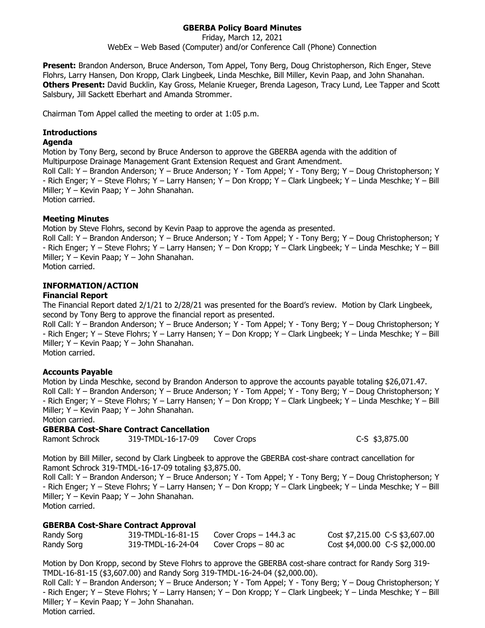# **GBERBA Policy Board Minutes**

Friday, March 12, 2021 WebEx – Web Based (Computer) and/or Conference Call (Phone) Connection

**Present:** Brandon Anderson, Bruce Anderson, Tom Appel, Tony Berg, Doug Christopherson, Rich Enger, Steve Flohrs, Larry Hansen, Don Kropp, Clark Lingbeek, Linda Meschke, Bill Miller, Kevin Paap, and John Shanahan. **Others Present:** David Bucklin, Kay Gross, Melanie Krueger, Brenda Lageson, Tracy Lund, Lee Tapper and Scott Salsbury, Jill Sackett Eberhart and Amanda Strommer.

Chairman Tom Appel called the meeting to order at 1:05 p.m.

## **Introductions**

### **Agenda**

Motion by Tony Berg, second by Bruce Anderson to approve the GBERBA agenda with the addition of Multipurpose Drainage Management Grant Extension Request and Grant Amendment.

Roll Call: Y – Brandon Anderson; Y – Bruce Anderson; Y - Tom Appel; Y - Tony Berg; Y – Doug Christopherson; Y - Rich Enger; Y – Steve Flohrs; Y – Larry Hansen; Y – Don Kropp; Y – Clark Lingbeek; Y – Linda Meschke; Y – Bill Miller; Y – Kevin Paap; Y – John Shanahan. Motion carried.

## **Meeting Minutes**

Motion by Steve Flohrs, second by Kevin Paap to approve the agenda as presented.

Roll Call: Y – Brandon Anderson; Y – Bruce Anderson; Y - Tom Appel; Y - Tony Berg; Y – Doug Christopherson; Y - Rich Enger; Y – Steve Flohrs; Y – Larry Hansen; Y – Don Kropp; Y – Clark Lingbeek; Y – Linda Meschke; Y – Bill Miller; Y – Kevin Paap; Y – John Shanahan.

Motion carried.

# **INFORMATION/ACTION**

## **Financial Report**

The Financial Report dated 2/1/21 to 2/28/21 was presented for the Board's review. Motion by Clark Lingbeek, second by Tony Berg to approve the financial report as presented.

Roll Call: Y – Brandon Anderson; Y – Bruce Anderson; Y - Tom Appel; Y - Tony Berg; Y – Doug Christopherson; Y - Rich Enger; Y – Steve Flohrs; Y – Larry Hansen; Y – Don Kropp; Y – Clark Lingbeek; Y – Linda Meschke; Y – Bill Miller; Y – Kevin Paap; Y – John Shanahan.

Motion carried.

## **Accounts Payable**

Motion by Linda Meschke, second by Brandon Anderson to approve the accounts payable totaling \$26,071.47. Roll Call: Y – Brandon Anderson; Y – Bruce Anderson; Y - Tom Appel; Y - Tony Berg; Y – Doug Christopherson; Y - Rich Enger; Y – Steve Flohrs; Y – Larry Hansen; Y – Don Kropp; Y – Clark Lingbeek; Y – Linda Meschke; Y – Bill Miller; Y – Kevin Paap; Y – John Shanahan.

Motion carried.

## **GBERBA Cost-Share Contract Cancellation**

Ramont Schrock 319-TMDL-16-17-09 Cover Crops C-S \$3,875.00

Motion by Bill Miller, second by Clark Lingbeek to approve the GBERBA cost-share contract cancellation for Ramont Schrock 319-TMDL-16-17-09 totaling \$3,875.00.

Roll Call: Y – Brandon Anderson; Y – Bruce Anderson; Y - Tom Appel; Y - Tony Berg; Y – Doug Christopherson; Y - Rich Enger; Y – Steve Flohrs; Y – Larry Hansen; Y – Don Kropp; Y – Clark Lingbeek; Y – Linda Meschke; Y – Bill Miller; Y – Kevin Paap; Y – John Shanahan.

Motion carried.

## **GBERBA Cost-Share Contract Approval**

| Randy Sorg | 319-TMDL-16-81-15 | Cover Crops $-144.3$ ac | Cost \$7,215.00 C-S \$3,607.00 |
|------------|-------------------|-------------------------|--------------------------------|
| Randy Sorg | 319-TMDL-16-24-04 | Cover Crops $-80$ ac    | Cost \$4,000.00 C-S \$2,000.00 |

Motion by Don Kropp, second by Steve Flohrs to approve the GBERBA cost-share contract for Randy Sorg 319- TMDL-16-81-15 (\$3,607.00) and Randy Sorg 319-TMDL-16-24-04 (\$2,000.00).

Roll Call: Y – Brandon Anderson; Y – Bruce Anderson; Y - Tom Appel; Y - Tony Berg; Y – Doug Christopherson; Y - Rich Enger; Y – Steve Flohrs; Y – Larry Hansen; Y – Don Kropp; Y – Clark Lingbeek; Y – Linda Meschke; Y – Bill Miller; Y – Kevin Paap; Y – John Shanahan. Motion carried.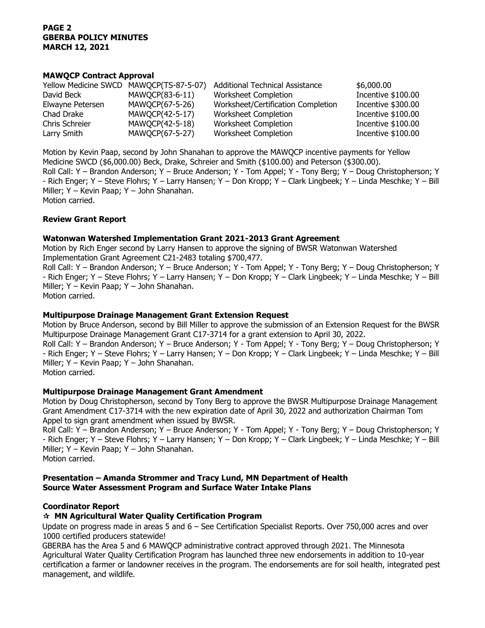### **PAGE 2 GBERBA POLICY MINUTES MARCH 12, 2021**

### **MAWQCP Contract Approval**

| Yellow Medicine SWCD MAWQCP(TS-87-5-07) |                 | <b>Additional Technical Assistance</b> | \$6,000.00         |
|-----------------------------------------|-----------------|----------------------------------------|--------------------|
| David Beck                              | MAWQCP(83-6-11) | Worksheet Completion                   | Incentive \$100.00 |
| Elwayne Petersen                        | MAWQCP(67-5-26) | Worksheet/Certification Completion     | Incentive \$300.00 |
| Chad Drake                              | MAWQCP(42-5-17) | Worksheet Completion                   | Incentive \$100.00 |
| Chris Schreier                          | MAWQCP(42-5-18) | Worksheet Completion                   | Incentive \$100.00 |
| Larry Smith                             | MAWQCP(67-5-27) | Worksheet Completion                   | Incentive \$100.00 |

Motion by Kevin Paap, second by John Shanahan to approve the MAWQCP incentive payments for Yellow Medicine SWCD (\$6,000.00) Beck, Drake, Schreier and Smith (\$100.00) and Peterson (\$300.00). Roll Call: Y – Brandon Anderson; Y – Bruce Anderson; Y - Tom Appel; Y - Tony Berg; Y – Doug Christopherson; Y - Rich Enger; Y – Steve Flohrs; Y – Larry Hansen; Y – Don Kropp; Y – Clark Lingbeek; Y – Linda Meschke; Y – Bill Miller; Y – Kevin Paap; Y – John Shanahan. Motion carried.

### **Review Grant Report**

### **Watonwan Watershed Implementation Grant 2021-2013 Grant Agreement**

Motion by Rich Enger second by Larry Hansen to approve the signing of BWSR Watonwan Watershed Implementation Grant Agreement C21-2483 totaling \$700,477.

Roll Call: Y – Brandon Anderson; Y – Bruce Anderson; Y - Tom Appel; Y - Tony Berg; Y – Doug Christopherson; Y - Rich Enger; Y – Steve Flohrs; Y – Larry Hansen; Y – Don Kropp; Y – Clark Lingbeek; Y – Linda Meschke; Y – Bill Miller; Y – Kevin Paap; Y – John Shanahan.

Motion carried.

#### **Multipurpose Drainage Management Grant Extension Request**

Motion by Bruce Anderson, second by Bill Miller to approve the submission of an Extension Request for the BWSR Multipurpose Drainage Management Grant C17-3714 for a grant extension to April 30, 2022.

Roll Call: Y – Brandon Anderson; Y – Bruce Anderson; Y - Tom Appel; Y - Tony Berg; Y – Doug Christopherson; Y - Rich Enger; Y – Steve Flohrs; Y – Larry Hansen; Y – Don Kropp; Y – Clark Lingbeek; Y – Linda Meschke; Y – Bill Miller; Y – Kevin Paap; Y – John Shanahan.

Motion carried.

#### **Multipurpose Drainage Management Grant Amendment**

Motion by Doug Christopherson, second by Tony Berg to approve the BWSR Multipurpose Drainage Management Grant Amendment C17-3714 with the new expiration date of April 30, 2022 and authorization Chairman Tom Appel to sign grant amendment when issued by BWSR.

Roll Call: Y – Brandon Anderson; Y – Bruce Anderson; Y - Tom Appel; Y - Tony Berg; Y – Doug Christopherson; Y - Rich Enger; Y – Steve Flohrs; Y – Larry Hansen; Y – Don Kropp; Y – Clark Lingbeek; Y – Linda Meschke; Y – Bill Miller; Y – Kevin Paap; Y – John Shanahan.

Motion carried.

### **Presentation – Amanda Strommer and Tracy Lund, MN Department of Health Source Water Assessment Program and Surface Water Intake Plans**

#### **Coordinator Report**

## **MN Agricultural Water Quality Certification Program**

Update on progress made in areas 5 and 6 – See Certification Specialist Reports. Over 750,000 acres and over 1000 certified producers statewide!

GBERBA has the Area 5 and 6 MAWQCP administrative contract approved through 2021. The Minnesota Agricultural Water Quality Certification Program has launched three new endorsements in addition to 10-year certification a farmer or landowner receives in the program. The endorsements are for soil health, integrated pest management, and wildlife.